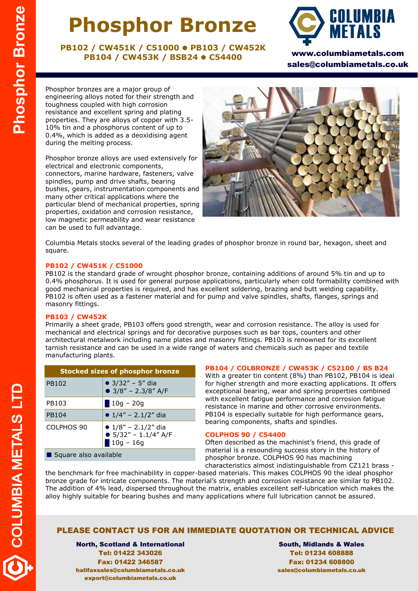# **Phosphor Bronze**

**PB102 / CW451K / C51000 PB103 / CW452K PB104 / CW453K / BSB24 C54400**



www.columbiametals.com sales@columbiametals.co.uk

Phosphor bronzes are a major group of engineering alloys noted for their strength and toughness coupled with high corrosion resistance and excellent spring and plating properties. They are alloys of copper with 3.5- 10% tin and a phosphorus content of up to 0.4%, which is added as a deoxidising agent during the melting process.

Phosphor bronze alloys are used extensively for electrical and electronic components, connectors, marine hardware, fasteners, valve spindles, pump and drive shafts, bearing bushes, gears, instrumentation components and many other critical applications where the particular blend of mechanical properties, spring properties, oxidation and corrosion resistance, low magnetic permeability and wear resistance can be used to full advantage.



Columbia Metals stocks several of the leading grades of phosphor bronze in round bar, hexagon, sheet and square.

### **PB102 / CW451K / C51000**

PB102 is the standard grade of wrought phosphor bronze, containing additions of around 5% tin and up to 0.4% phosphorus. It is used for general purpose applications, particularly when cold formability combined with good mechanical properties is required, and has excellent soldering, brazing and butt welding capability. PB102 is often used as a fastener material and for pump and valve spindles, shafts, flanges, springs and masonry fittings.

### **PB103 / CW452K**

Primarily a sheet grade, PB103 offers good strength, wear and corrosion resistance. The alloy is used for mechanical and electrical springs and for decorative purposes such as bar tops, counters and other architectural metalwork including name plates and masonry fittings. PB103 is renowned for its excellent tarnish resistance and can be used in a wide range of waters and chemicals such as paper and textile manufacturing plants.

| <b>Stocked sizes of phosphor bronze</b> |                                                                  |  |  |  |
|-----------------------------------------|------------------------------------------------------------------|--|--|--|
| PB102                                   | • $3/32'' - 5''$ dia<br>$\bullet$ 3/8" - 2.3/8" A/F              |  |  |  |
| PB103                                   | $10g - 20g$                                                      |  |  |  |
| PB104                                   | • $1/4'' - 2.1/2''$ dia                                          |  |  |  |
| COLPHOS 90                              | • $1/8"$ – 2.1/2" dia<br>● $5/32'' - 1.1/4''$ A/F<br>$10g - 16g$ |  |  |  |
| Square also available                   |                                                                  |  |  |  |

### **PB104 / COLBRONZE / CW453K / C52100 / BS B24**

With a greater tin content (8%) than PB102, PB104 is ideal for higher strength and more exacting applications. It offers exceptional bearing, wear and spring properties combined with excellent fatigue performance and corrosion fatigue resistance in marine and other corrosive environments. PB104 is especially suitable for high performance gears, bearing components, shafts and spindles.

#### **COLPHOS 90 / C54400**

Often described as the machinist's friend, this grade of material is a resounding success story in the history of phosphor bronze. COLPHOS 90 has machining characteristics almost indistinguishable from CZ121 brass -

the benchmark for free machinability in copper-based materials. This makes COLPHOS 90 the ideal phosphor bronze grade for intricate components. The material's strength and corrosion resistance are similar to PB102. The addition of 4% lead, dispersed throughout the matrix, enables excellent self-lubrication which makes the alloy highly suitable for bearing bushes and many applications where full lubrication cannot be assured.

### PLEASE CONTACT US FOR AN IMMEDIATE QUOTATION OR TECHNICAL ADVICE

North, Scotland & International Tel: 01422 343026 Fax: 01422 346587 halifaxsales@columbiametals.co.uk export@columbiametals.co.uk

South, Midlands & Wales Tel: 01234 608888 Fax: 01234 608800 sales@columbiametals.co.uk